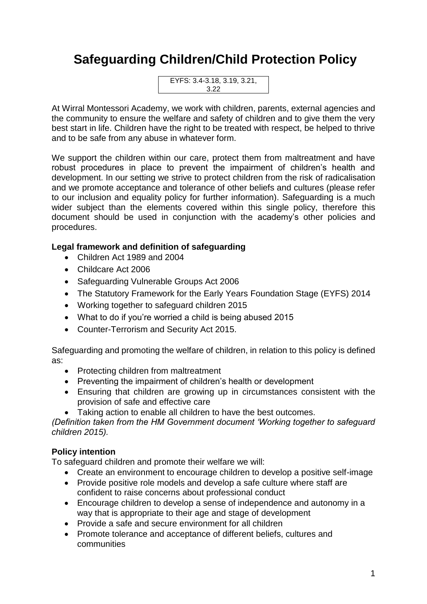# **Safeguarding Children/Child Protection Policy**

```
EYFS: 3.4-3.18, 3.19, 3.21, 
3.22
```
At Wirral Montessori Academy, we work with children, parents, external agencies and the community to ensure the welfare and safety of children and to give them the very best start in life. Children have the right to be treated with respect, be helped to thrive and to be safe from any abuse in whatever form.

We support the children within our care, protect them from maltreatment and have robust procedures in place to prevent the impairment of children's health and development. In our setting we strive to protect children from the risk of radicalisation and we promote acceptance and tolerance of other beliefs and cultures (please refer to our inclusion and equality policy for further information). Safeguarding is a much wider subject than the elements covered within this single policy, therefore this document should be used in conjunction with the academy's other policies and procedures.

# **Legal framework and definition of safeguarding**

- Children Act 1989 and 2004
- Childcare Act 2006
- Safeguarding Vulnerable Groups Act 2006
- The Statutory Framework for the Early Years Foundation Stage (EYFS) 2014
- Working together to safeguard children 2015
- What to do if you're worried a child is being abused 2015
- Counter-Terrorism and Security Act 2015.

Safeguarding and promoting the welfare of children, in relation to this policy is defined as:

- Protecting children from maltreatment
- Preventing the impairment of children's health or development
- Ensuring that children are growing up in circumstances consistent with the provision of safe and effective care
- Taking action to enable all children to have the best outcomes.

*(Definition taken from the HM Government document 'Working together to safeguard children 2015).*

# **Policy intention**

To safeguard children and promote their welfare we will:

- Create an environment to encourage children to develop a positive self-image
- Provide positive role models and develop a safe culture where staff are confident to raise concerns about professional conduct
- Encourage children to develop a sense of independence and autonomy in a way that is appropriate to their age and stage of development
- Provide a safe and secure environment for all children
- Promote tolerance and acceptance of different beliefs, cultures and communities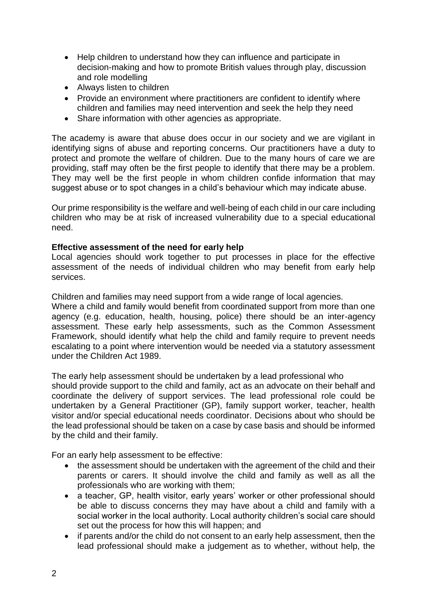- Help children to understand how they can influence and participate in decision-making and how to promote British values through play, discussion and role modelling
- Always listen to children
- Provide an environment where practitioners are confident to identify where children and families may need intervention and seek the help they need
- Share information with other agencies as appropriate.

The academy is aware that abuse does occur in our society and we are vigilant in identifying signs of abuse and reporting concerns. Our practitioners have a duty to protect and promote the welfare of children. Due to the many hours of care we are providing, staff may often be the first people to identify that there may be a problem. They may well be the first people in whom children confide information that may suggest abuse or to spot changes in a child's behaviour which may indicate abuse.

Our prime responsibility is the welfare and well-being of each child in our care including children who may be at risk of increased vulnerability due to a special educational need.

# **Effective assessment of the need for early help**

Local agencies should work together to put processes in place for the effective assessment of the needs of individual children who may benefit from early help services.

Children and families may need support from a wide range of local agencies.

Where a child and family would benefit from coordinated support from more than one agency (e.g. education, health, housing, police) there should be an inter-agency assessment. These early help assessments, such as the Common Assessment Framework, should identify what help the child and family require to prevent needs escalating to a point where intervention would be needed via a statutory assessment under the Children Act 1989.

The early help assessment should be undertaken by a lead professional who should provide support to the child and family, act as an advocate on their behalf and coordinate the delivery of support services. The lead professional role could be undertaken by a General Practitioner (GP), family support worker, teacher, health visitor and/or special educational needs coordinator. Decisions about who should be the lead professional should be taken on a case by case basis and should be informed by the child and their family.

For an early help assessment to be effective:

- the assessment should be undertaken with the agreement of the child and their parents or carers. It should involve the child and family as well as all the professionals who are working with them;
- a teacher, GP, health visitor, early years' worker or other professional should be able to discuss concerns they may have about a child and family with a social worker in the local authority. Local authority children's social care should set out the process for how this will happen; and
- if parents and/or the child do not consent to an early help assessment, then the lead professional should make a judgement as to whether, without help, the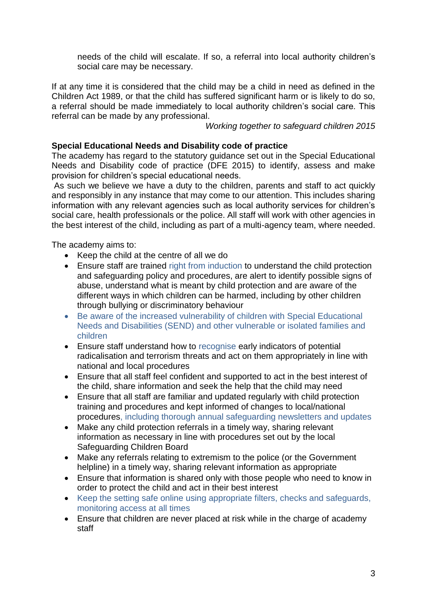needs of the child will escalate. If so, a referral into local authority children's social care may be necessary.

If at any time it is considered that the child may be a child in need as defined in the Children Act 1989, or that the child has suffered significant harm or is likely to do so, a referral should be made immediately to local authority children's social care. This referral can be made by any professional.

*Working together to safeguard children 2015*

# **Special Educational Needs and Disability code of practice**

The academy has regard to the statutory guidance set out in the Special Educational Needs and Disability code of practice (DFE 2015) to identify, assess and make provision for children's special educational needs.

As such we believe we have a duty to the children, parents and staff to act quickly and responsibly in any instance that may come to our attention. This includes sharing information with any relevant agencies such as local authority services for children's social care, health professionals or the police. All staff will work with other agencies in the best interest of the child, including as part of a multi-agency team, where needed.

The academy aims to:

- Keep the child at the centre of all we do
- Ensure staff are trained right from induction to understand the child protection and safeguarding policy and procedures, are alert to identify possible signs of abuse, understand what is meant by child protection and are aware of the different ways in which children can be harmed, including by other children through bullying or discriminatory behaviour
- Be aware of the increased vulnerability of children with Special Educational Needs and Disabilities (SEND) and other vulnerable or isolated families and children
- Ensure staff understand how to recognise early indicators of potential radicalisation and terrorism threats and act on them appropriately in line with national and local procedures
- Ensure that all staff feel confident and supported to act in the best interest of the child, share information and seek the help that the child may need
- Ensure that all staff are familiar and updated regularly with child protection training and procedures and kept informed of changes to local/national procedures, including thorough annual safeguarding newsletters and updates
- Make any child protection referrals in a timely way, sharing relevant information as necessary in line with procedures set out by the local Safeguarding Children Board
- Make any referrals relating to extremism to the police (or the Government helpline) in a timely way, sharing relevant information as appropriate
- Ensure that information is shared only with those people who need to know in order to protect the child and act in their best interest
- Keep the setting safe online using appropriate filters, checks and safeguards, monitoring access at all times
- Ensure that children are never placed at risk while in the charge of academy staff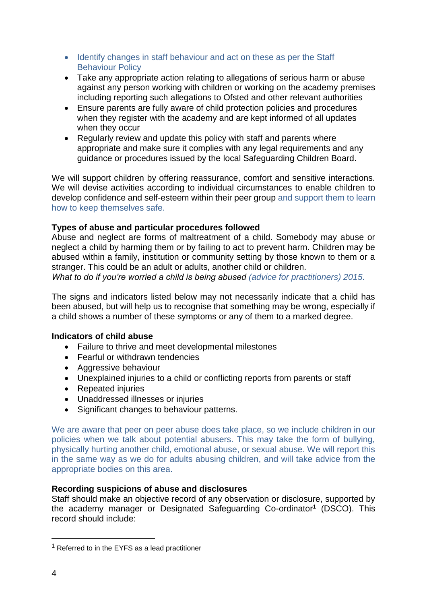- Identify changes in staff behaviour and act on these as per the Staff Behaviour Policy
- Take any appropriate action relating to allegations of serious harm or abuse against any person working with children or working on the academy premises including reporting such allegations to Ofsted and other relevant authorities
- Ensure parents are fully aware of child protection policies and procedures when they register with the academy and are kept informed of all updates when they occur
- Regularly review and update this policy with staff and parents where appropriate and make sure it complies with any legal requirements and any guidance or procedures issued by the local Safeguarding Children Board.

We will support children by offering reassurance, comfort and sensitive interactions. We will devise activities according to individual circumstances to enable children to develop confidence and self-esteem within their peer group and support them to learn how to keep themselves safe.

# **Types of abuse and particular procedures followed**

Abuse and neglect are forms of maltreatment of a child. Somebody may abuse or neglect a child by harming them or by failing to act to prevent harm. Children may be abused within a family, institution or community setting by those known to them or a stranger. This could be an adult or adults, another child or children.

*What to do if you're worried a child is being abused (advice for practitioners) 2015.*

The signs and indicators listed below may not necessarily indicate that a child has been abused, but will help us to recognise that something may be wrong, especially if a child shows a number of these symptoms or any of them to a marked degree.

# **Indicators of child abuse**

- Failure to thrive and meet developmental milestones
- Fearful or withdrawn tendencies
- Aggressive behaviour
- Unexplained injuries to a child or conflicting reports from parents or staff
- Repeated injuries
- Unaddressed illnesses or injuries
- Significant changes to behaviour patterns.

We are aware that peer on peer abuse does take place, so we include children in our policies when we talk about potential abusers. This may take the form of bullying, physically hurting another child, emotional abuse, or sexual abuse. We will report this in the same way as we do for adults abusing children, and will take advice from the appropriate bodies on this area.

# **Recording suspicions of abuse and disclosures**

Staff should make an objective record of any observation or disclosure, supported by the academy manager or Designated Safeguarding Co-ordinator<sup>1</sup> (DSCO). This record should include:

1

 $1$  Referred to in the EYFS as a lead practitioner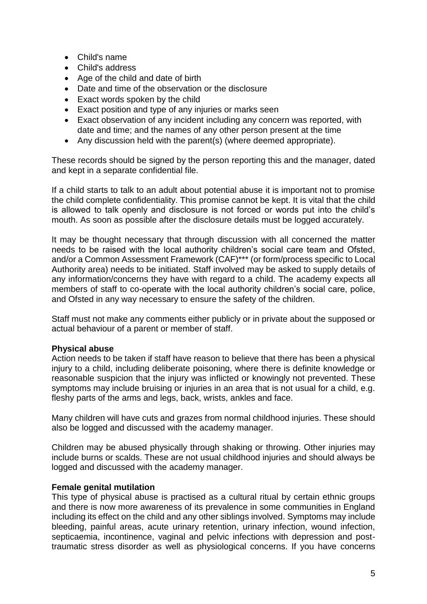- Child's name
- Child's address
- Age of the child and date of birth
- Date and time of the observation or the disclosure
- Exact words spoken by the child
- Exact position and type of any injuries or marks seen
- Exact observation of any incident including any concern was reported, with date and time; and the names of any other person present at the time
- Any discussion held with the parent(s) (where deemed appropriate).

These records should be signed by the person reporting this and the manager, dated and kept in a separate confidential file.

If a child starts to talk to an adult about potential abuse it is important not to promise the child complete confidentiality. This promise cannot be kept. It is vital that the child is allowed to talk openly and disclosure is not forced or words put into the child's mouth. As soon as possible after the disclosure details must be logged accurately.

It may be thought necessary that through discussion with all concerned the matter needs to be raised with the local authority children's social care team and Ofsted, and/or a Common Assessment Framework (CAF)\*\*\* (or form/process specific to Local Authority area) needs to be initiated. Staff involved may be asked to supply details of any information/concerns they have with regard to a child. The academy expects all members of staff to co-operate with the local authority children's social care, police, and Ofsted in any way necessary to ensure the safety of the children.

Staff must not make any comments either publicly or in private about the supposed or actual behaviour of a parent or member of staff.

# **Physical abuse**

Action needs to be taken if staff have reason to believe that there has been a physical injury to a child, including deliberate poisoning, where there is definite knowledge or reasonable suspicion that the injury was inflicted or knowingly not prevented. These symptoms may include bruising or injuries in an area that is not usual for a child, e.g. fleshy parts of the arms and legs, back, wrists, ankles and face.

Many children will have cuts and grazes from normal childhood injuries. These should also be logged and discussed with the academy manager.

Children may be abused physically through shaking or throwing. Other injuries may include burns or scalds. These are not usual childhood injuries and should always be logged and discussed with the academy manager.

# **Female genital mutilation**

This type of physical abuse is practised as a cultural ritual by certain ethnic groups and there is now more awareness of its prevalence in some communities in England including its effect on the child and any other siblings involved. Symptoms may include bleeding, painful areas, acute urinary retention, urinary infection, wound infection, septicaemia, incontinence, vaginal and pelvic infections with depression and posttraumatic stress disorder as well as physiological concerns. If you have concerns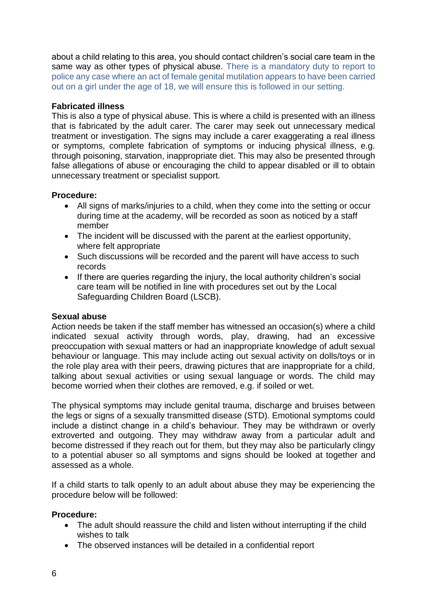about a child relating to this area, you should contact children's social care team in the same way as other types of physical abuse. There is a mandatory duty to report to police any case where an act of female genital mutilation appears to have been carried out on a girl under the age of 18, we will ensure this is followed in our setting.

# **Fabricated illness**

This is also a type of physical abuse. This is where a child is presented with an illness that is fabricated by the adult carer. The carer may seek out unnecessary medical treatment or investigation. The signs may include a carer exaggerating a real illness or symptoms, complete fabrication of symptoms or inducing physical illness, e.g. through poisoning, starvation, inappropriate diet. This may also be presented through false allegations of abuse or encouraging the child to appear disabled or ill to obtain unnecessary treatment or specialist support.

# **Procedure:**

- All signs of marks/injuries to a child, when they come into the setting or occur during time at the academy, will be recorded as soon as noticed by a staff member
- The incident will be discussed with the parent at the earliest opportunity, where felt appropriate
- Such discussions will be recorded and the parent will have access to such records
- If there are queries regarding the injury, the local authority children's social care team will be notified in line with procedures set out by the Local Safeguarding Children Board (LSCB).

# **Sexual abuse**

Action needs be taken if the staff member has witnessed an occasion(s) where a child indicated sexual activity through words, play, drawing, had an excessive preoccupation with sexual matters or had an inappropriate knowledge of adult sexual behaviour or language. This may include acting out sexual activity on dolls/toys or in the role play area with their peers, drawing pictures that are inappropriate for a child, talking about sexual activities or using sexual language or words. The child may become worried when their clothes are removed, e.g. if soiled or wet.

The physical symptoms may include genital trauma, discharge and bruises between the legs or signs of a sexually transmitted disease (STD). Emotional symptoms could include a distinct change in a child's behaviour. They may be withdrawn or overly extroverted and outgoing. They may withdraw away from a particular adult and become distressed if they reach out for them, but they may also be particularly clingy to a potential abuser so all symptoms and signs should be looked at together and assessed as a whole.

If a child starts to talk openly to an adult about abuse they may be experiencing the procedure below will be followed:

# **Procedure:**

- The adult should reassure the child and listen without interrupting if the child wishes to talk
- The observed instances will be detailed in a confidential report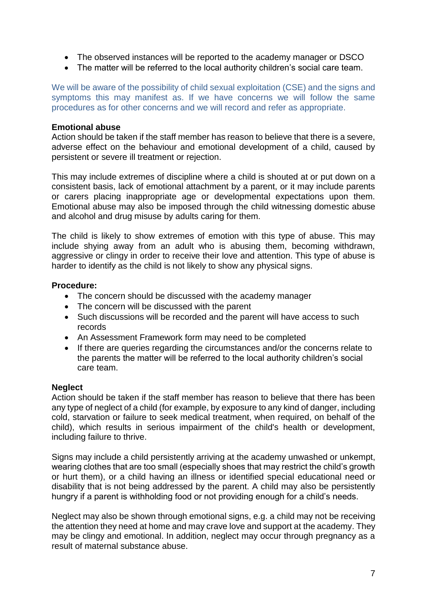- The observed instances will be reported to the academy manager or DSCO
- The matter will be referred to the local authority children's social care team.

We will be aware of the possibility of child sexual exploitation (CSE) and the signs and symptoms this may manifest as. If we have concerns we will follow the same procedures as for other concerns and we will record and refer as appropriate.

### **Emotional abuse**

Action should be taken if the staff member has reason to believe that there is a severe, adverse effect on the behaviour and emotional development of a child, caused by persistent or severe ill treatment or rejection.

This may include extremes of discipline where a child is shouted at or put down on a consistent basis, lack of emotional attachment by a parent, or it may include parents or carers placing inappropriate age or developmental expectations upon them. Emotional abuse may also be imposed through the child witnessing domestic abuse and alcohol and drug misuse by adults caring for them.

The child is likely to show extremes of emotion with this type of abuse. This may include shying away from an adult who is abusing them, becoming withdrawn, aggressive or clingy in order to receive their love and attention. This type of abuse is harder to identify as the child is not likely to show any physical signs.

#### **Procedure:**

- The concern should be discussed with the academy manager
- The concern will be discussed with the parent
- Such discussions will be recorded and the parent will have access to such records
- An Assessment Framework form may need to be completed
- If there are queries regarding the circumstances and/or the concerns relate to the parents the matter will be referred to the local authority children's social care team.

#### **Neglect**

Action should be taken if the staff member has reason to believe that there has been any type of neglect of a child (for example, by exposure to any kind of danger, including cold, starvation or failure to seek medical treatment, when required, on behalf of the child), which results in serious impairment of the child's health or development, including failure to thrive.

Signs may include a child persistently arriving at the academy unwashed or unkempt, wearing clothes that are too small (especially shoes that may restrict the child's growth or hurt them), or a child having an illness or identified special educational need or disability that is not being addressed by the parent. A child may also be persistently hungry if a parent is withholding food or not providing enough for a child's needs.

Neglect may also be shown through emotional signs, e.g. a child may not be receiving the attention they need at home and may crave love and support at the academy. They may be clingy and emotional. In addition, neglect may occur through pregnancy as a result of maternal substance abuse.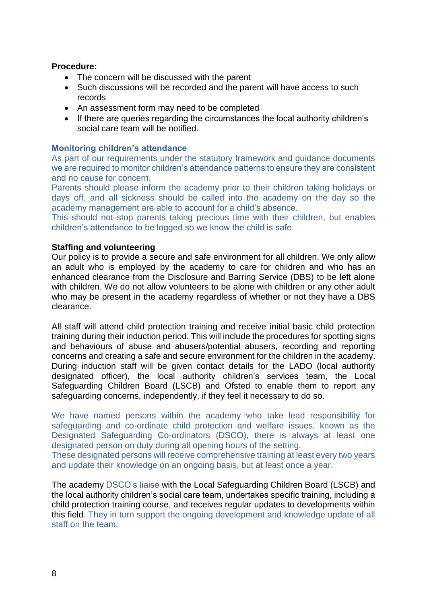# **Procedure:**

- The concern will be discussed with the parent
- Such discussions will be recorded and the parent will have access to such records
- An assessment form may need to be completed
- If there are queries regarding the circumstances the local authority children's social care team will be notified.

# **Monitoring children's attendance**

As part of our requirements under the statutory framework and guidance documents we are required to monitor children's attendance patterns to ensure they are consistent and no cause for concern.

Parents should please inform the academy prior to their children taking holidays or days off, and all sickness should be called into the academy on the day so the academy management are able to account for a child's absence.

This should not stop parents taking precious time with their children, but enables children's attendance to be logged so we know the child is safe.

# **Staffing and volunteering**

Our policy is to provide a secure and safe environment for all children. We only allow an adult who is employed by the academy to care for children and who has an enhanced clearance from the Disclosure and Barring Service (DBS) to be left alone with children. We do not allow volunteers to be alone with children or any other adult who may be present in the academy regardless of whether or not they have a DBS clearance.

All staff will attend child protection training and receive initial basic child protection training during their induction period. This will include the procedures for spotting signs and behaviours of abuse and abusers/potential abusers, recording and reporting concerns and creating a safe and secure environment for the children in the academy. During induction staff will be given contact details for the LADO (local authority designated officer), the local authority children's services team, the Local Safeguarding Children Board (LSCB) and Ofsted to enable them to report any safeguarding concerns, independently, if they feel it necessary to do so.

We have named persons within the academy who take lead responsibility for safeguarding and co-ordinate child protection and welfare issues, known as the Designated Safeguarding Co-ordinators (DSCO), there is always at least one designated person on duty during all opening hours of the setting.

These designated persons will receive comprehensive training at least every two years and update their knowledge on an ongoing basis, but at least once a year.

The academy DSCO's liaise with the Local Safeguarding Children Board (LSCB) and the local authority children's social care team, undertakes specific training, including a child protection training course, and receives regular updates to developments within this field. They in turn support the ongoing development and knowledge update of all staff on the team.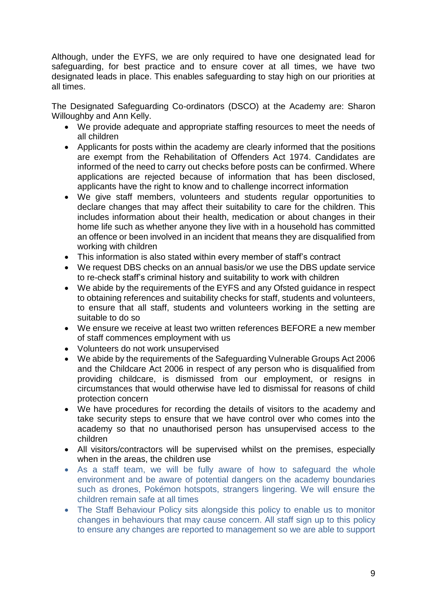Although, under the EYFS, we are only required to have one designated lead for safeguarding, for best practice and to ensure cover at all times, we have two designated leads in place. This enables safeguarding to stay high on our priorities at all times.

The Designated Safeguarding Co-ordinators (DSCO) at the Academy are: Sharon Willoughby and Ann Kelly.

- We provide adequate and appropriate staffing resources to meet the needs of all children
- Applicants for posts within the academy are clearly informed that the positions are exempt from the Rehabilitation of Offenders Act 1974. Candidates are informed of the need to carry out checks before posts can be confirmed. Where applications are rejected because of information that has been disclosed, applicants have the right to know and to challenge incorrect information
- We give staff members, volunteers and students regular opportunities to declare changes that may affect their suitability to care for the children. This includes information about their health, medication or about changes in their home life such as whether anyone they live with in a household has committed an offence or been involved in an incident that means they are disqualified from working with children
- This information is also stated within every member of staff's contract
- We request DBS checks on an annual basis/or we use the DBS update service to re-check staff's criminal history and suitability to work with children
- We abide by the requirements of the EYFS and any Ofsted guidance in respect to obtaining references and suitability checks for staff, students and volunteers, to ensure that all staff, students and volunteers working in the setting are suitable to do so
- We ensure we receive at least two written references BEFORE a new member of staff commences employment with us
- Volunteers do not work unsupervised
- We abide by the requirements of the Safeguarding Vulnerable Groups Act 2006 and the Childcare Act 2006 in respect of any person who is disqualified from providing childcare, is dismissed from our employment, or resigns in circumstances that would otherwise have led to dismissal for reasons of child protection concern
- We have procedures for recording the details of visitors to the academy and take security steps to ensure that we have control over who comes into the academy so that no unauthorised person has unsupervised access to the children
- All visitors/contractors will be supervised whilst on the premises, especially when in the areas, the children use
- As a staff team, we will be fully aware of how to safeguard the whole environment and be aware of potential dangers on the academy boundaries such as drones, Pokémon hotspots, strangers lingering. We will ensure the children remain safe at all times
- The Staff Behaviour Policy sits alongside this policy to enable us to monitor changes in behaviours that may cause concern. All staff sign up to this policy to ensure any changes are reported to management so we are able to support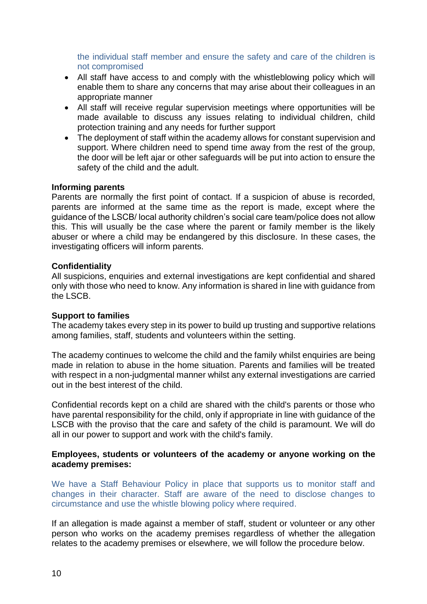the individual staff member and ensure the safety and care of the children is not compromised

- All staff have access to and comply with the whistleblowing policy which will enable them to share any concerns that may arise about their colleagues in an appropriate manner
- All staff will receive regular supervision meetings where opportunities will be made available to discuss any issues relating to individual children, child protection training and any needs for further support
- The deployment of staff within the academy allows for constant supervision and support. Where children need to spend time away from the rest of the group, the door will be left ajar or other safeguards will be put into action to ensure the safety of the child and the adult.

# **Informing parents**

Parents are normally the first point of contact. If a suspicion of abuse is recorded, parents are informed at the same time as the report is made, except where the guidance of the LSCB/ local authority children's social care team/police does not allow this. This will usually be the case where the parent or family member is the likely abuser or where a child may be endangered by this disclosure. In these cases, the investigating officers will inform parents.

# **Confidentiality**

All suspicions, enquiries and external investigations are kept confidential and shared only with those who need to know. Any information is shared in line with guidance from the LSCB.

# **Support to families**

The academy takes every step in its power to build up trusting and supportive relations among families, staff, students and volunteers within the setting.

The academy continues to welcome the child and the family whilst enquiries are being made in relation to abuse in the home situation. Parents and families will be treated with respect in a non-judgmental manner whilst any external investigations are carried out in the best interest of the child.

Confidential records kept on a child are shared with the child's parents or those who have parental responsibility for the child, only if appropriate in line with guidance of the LSCB with the proviso that the care and safety of the child is paramount. We will do all in our power to support and work with the child's family.

#### **Employees, students or volunteers of the academy or anyone working on the academy premises:**

We have a Staff Behaviour Policy in place that supports us to monitor staff and changes in their character. Staff are aware of the need to disclose changes to circumstance and use the whistle blowing policy where required.

If an allegation is made against a member of staff, student or volunteer or any other person who works on the academy premises regardless of whether the allegation relates to the academy premises or elsewhere, we will follow the procedure below.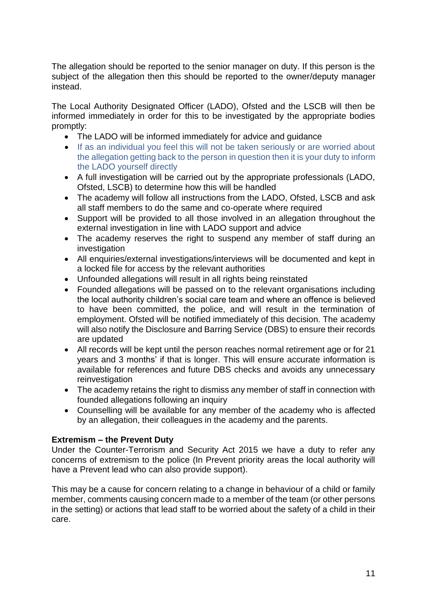The allegation should be reported to the senior manager on duty. If this person is the subject of the allegation then this should be reported to the owner/deputy manager instead.

The Local Authority Designated Officer (LADO), Ofsted and the LSCB will then be informed immediately in order for this to be investigated by the appropriate bodies promptly:

- The LADO will be informed immediately for advice and guidance
- If as an individual you feel this will not be taken seriously or are worried about the allegation getting back to the person in question then it is your duty to inform the LADO yourself directly
- A full investigation will be carried out by the appropriate professionals (LADO, Ofsted, LSCB) to determine how this will be handled
- The academy will follow all instructions from the LADO, Ofsted, LSCB and ask all staff members to do the same and co-operate where required
- Support will be provided to all those involved in an allegation throughout the external investigation in line with LADO support and advice
- The academy reserves the right to suspend any member of staff during an investigation
- All enquiries/external investigations/interviews will be documented and kept in a locked file for access by the relevant authorities
- Unfounded allegations will result in all rights being reinstated
- Founded allegations will be passed on to the relevant organisations including the local authority children's social care team and where an offence is believed to have been committed, the police, and will result in the termination of employment. Ofsted will be notified immediately of this decision. The academy will also notify the Disclosure and Barring Service (DBS) to ensure their records are updated
- All records will be kept until the person reaches normal retirement age or for 21 years and 3 months' if that is longer. This will ensure accurate information is available for references and future DBS checks and avoids any unnecessary reinvestigation
- The academy retains the right to dismiss any member of staff in connection with founded allegations following an inquiry
- Counselling will be available for any member of the academy who is affected by an allegation, their colleagues in the academy and the parents.

# **Extremism – the Prevent Duty**

Under the Counter-Terrorism and Security Act 2015 we have a duty to refer any concerns of extremism to the police (In Prevent priority areas the local authority will have a Prevent lead who can also provide support).

This may be a cause for concern relating to a change in behaviour of a child or family member, comments causing concern made to a member of the team (or other persons in the setting) or actions that lead staff to be worried about the safety of a child in their care.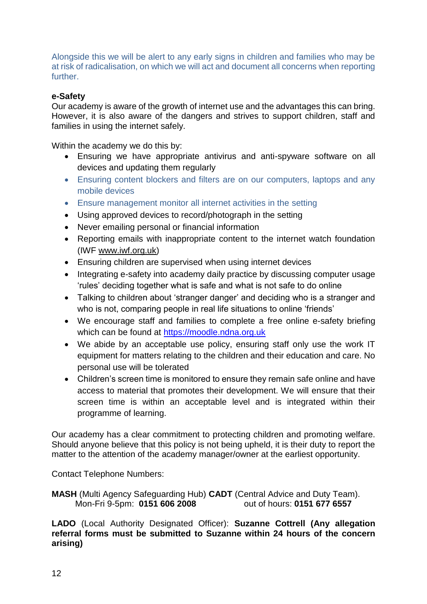Alongside this we will be alert to any early signs in children and families who may be at risk of radicalisation, on which we will act and document all concerns when reporting further.

# **e-Safety**

Our academy is aware of the growth of internet use and the advantages this can bring. However, it is also aware of the dangers and strives to support children, staff and families in using the internet safely.

Within the academy we do this by:

- Ensuring we have appropriate antivirus and anti-spyware software on all devices and updating them regularly
- Ensuring content blockers and filters are on our computers, laptops and any mobile devices
- Ensure management monitor all internet activities in the setting
- Using approved devices to record/photograph in the setting
- Never emailing personal or financial information
- Reporting emails with inappropriate content to the internet watch foundation (IWF www.iwf.org.uk)
- Ensuring children are supervised when using internet devices
- Integrating e-safety into academy daily practice by discussing computer usage 'rules' deciding together what is safe and what is not safe to do online
- Talking to children about 'stranger danger' and deciding who is a stranger and who is not, comparing people in real life situations to online 'friends'
- We encourage staff and families to complete a free online e-safety briefing which can be found at [https://moodle.ndna.org.uk](https://moodle.ndna.org.uk/course/index.php?categoryid=27)
- We abide by an acceptable use policy, ensuring staff only use the work IT equipment for matters relating to the children and their education and care. No personal use will be tolerated
- Children's screen time is monitored to ensure they remain safe online and have access to material that promotes their development. We will ensure that their screen time is within an acceptable level and is integrated within their programme of learning.

Our academy has a clear commitment to protecting children and promoting welfare. Should anyone believe that this policy is not being upheld, it is their duty to report the matter to the attention of the academy manager/owner at the earliest opportunity.

Contact Telephone Numbers:

**MASH** (Multi Agency Safeguarding Hub) **CADT** (Central Advice and Duty Team). Mon-Fri 9-5pm: **0151 606 2008** out of hours: **0151 677 6557**

**LADO** (Local Authority Designated Officer): **Suzanne Cottrell (Any allegation referral forms must be submitted to Suzanne within 24 hours of the concern arising)**